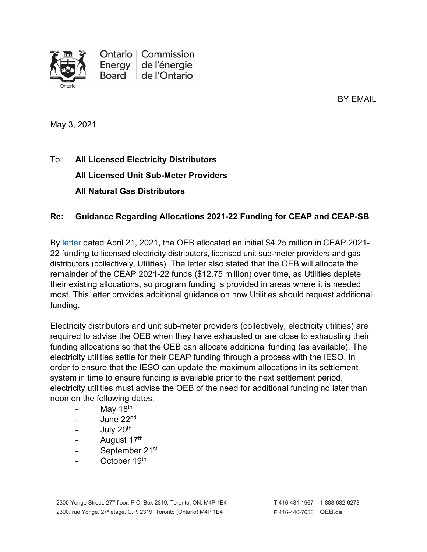

Ontario | Commission Energy de l'énergie Board de l'Ontario

BY EMAIL

May 3, 2021

## To: **All Licensed Electricity Distributors All Licensed Unit Sub-Meter Providers All Natural Gas Distributors**

## **Re: Guidance Regarding Allocations 2021-22 Funding for CEAP and CEAP-SB**

By [letter](https://www.oeb.ca/sites/default/files/oebltr-ceap-allocations-20210421.pdf) dated April 21, 2021, the OEB allocated an initial \$4.25 million in CEAP 2021- 22 funding to licensed electricity distributors, licensed unit sub-meter providers and gas distributors (collectively, Utilities). The letter also stated that the OEB will allocate the remainder of the CEAP 2021-22 funds (\$12.75 million) over time, as Utilities deplete their existing allocations, so program funding is provided in areas where it is needed most. This letter provides additional guidance on how Utilities should request additional funding.

Electricity distributors and unit sub-meter providers (collectively, electricity utilities) are required to advise the OEB when they have exhausted or are close to exhausting their funding allocations so that the OEB can allocate additional funding (as available). The electricity utilities settle for their CEAP funding through a process with the IESO. In order to ensure that the IESO can update the maximum allocations in its settlement system in time to ensure funding is available prior to the next settlement period, electricity utilities must advise the OEB of the need for additional funding no later than noon on the following dates:

- May  $18<sup>th</sup>$
- June 22nd
- July 20<sup>th</sup>
- August 17<sup>th</sup>
- September 21<sup>st</sup>
- October 19<sup>th</sup>